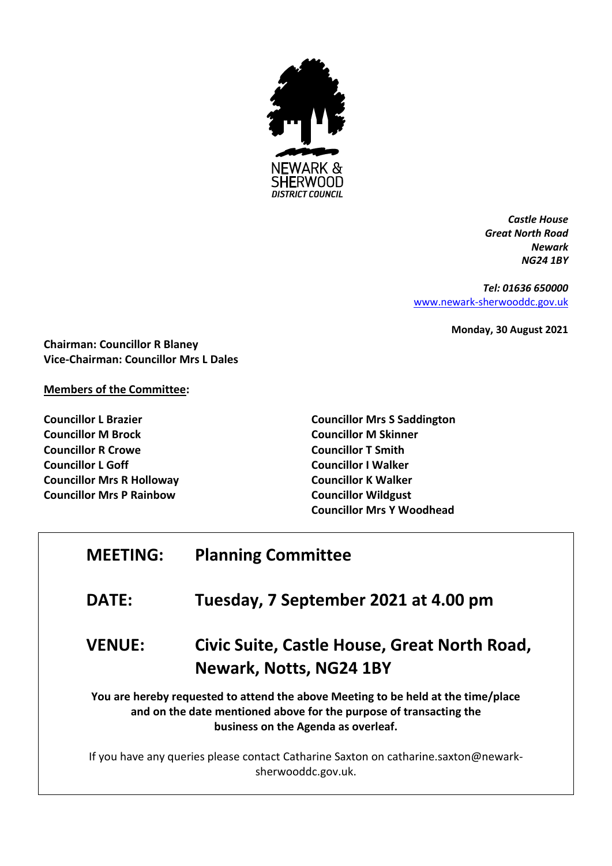

*Castle House Great North Road Newark NG24 1BY*

*Tel: 01636 650000* [www.newark-sherwooddc.gov.uk](http://www.newark-sherwooddc.gov.uk/)

**Monday, 30 August 2021**

**Chairman: Councillor R Blaney Vice-Chairman: Councillor Mrs L Dales**

## **Members of the Committee:**

**Councillor L Brazier Councillor M Brock Councillor R Crowe Councillor L Goff Councillor Mrs R Holloway Councillor Mrs P Rainbow**

**Councillor Mrs S Saddington Councillor M Skinner Councillor T Smith Councillor I Walker Councillor K Walker Councillor Wildgust Councillor Mrs Y Woodhead**

| <b>MEETING:</b> | <b>Planning Committee</b>                                                                                                                                                                      |
|-----------------|------------------------------------------------------------------------------------------------------------------------------------------------------------------------------------------------|
| <b>DATE:</b>    | Tuesday, 7 September 2021 at 4.00 pm                                                                                                                                                           |
| <b>VENUE:</b>   | Civic Suite, Castle House, Great North Road,<br>Newark, Notts, NG24 1BY                                                                                                                        |
|                 | You are hereby requested to attend the above Meeting to be held at the time/place<br>and on the date mentioned above for the purpose of transacting the<br>business on the Agenda as overleaf. |
|                 | If you have any queries please contact Catharine Saxton on catharine.saxton@newark-<br>sherwooddc.gov.uk.                                                                                      |